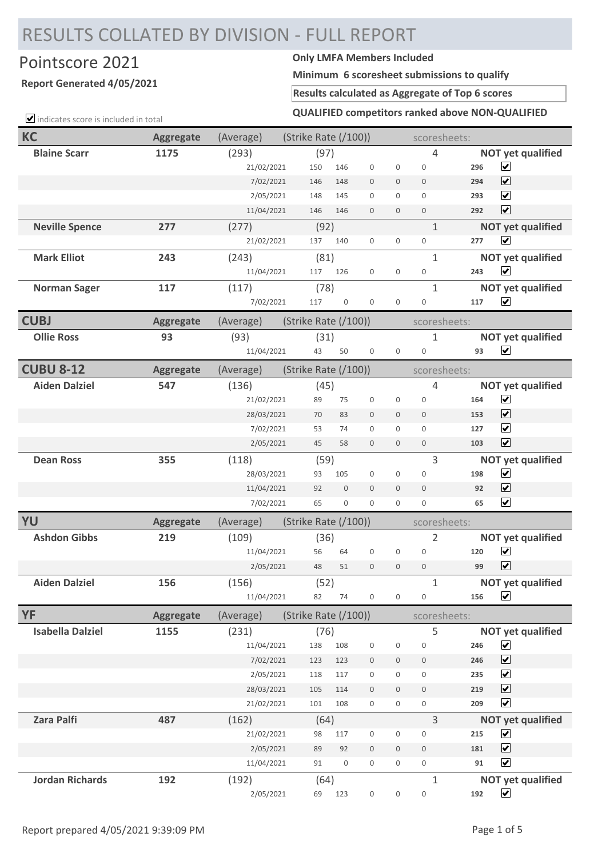# RESULTS COLLATED BY DIVISION - FULL REPORT

## Pointscore 2021 **Only LMFA Members Included**

### **Report Generated 4/05/2021**

**Minimum 6 scoresheet submissions to qualify**

**Results calculated as Aggregate of Top 6 scores**

 $\Box$  indicates score is included in total

#### **QUALIFIED competitors ranked above NON-QUALIFIED**

| KC                      | <b>Aggregate</b> | (Average)  | (Strike Rate $(100)$ ) |                  |                     |                     | scoresheets:     |     |                                                 |
|-------------------------|------------------|------------|------------------------|------------------|---------------------|---------------------|------------------|-----|-------------------------------------------------|
| <b>Blaine Scarr</b>     | 1175             | (293)      | (97)                   |                  |                     |                     | $\sqrt{4}$       |     | <b>NOT yet qualified</b>                        |
|                         |                  | 21/02/2021 | 150                    | 146              | $\mathbf 0$         | $\mathbf 0$         | $\mathbf 0$      | 296 | $\blacktriangledown$                            |
|                         |                  | 7/02/2021  | 146                    | 148              | $\boldsymbol{0}$    | $\mathbf 0$         | $\mathbf 0$      | 294 | $\overline{\mathbf{v}}$                         |
|                         |                  | 2/05/2021  | 148                    | 145              | $\mathbf 0$         | $\boldsymbol{0}$    | $\mathbf{0}$     | 293 | $\blacktriangledown$                            |
|                         |                  | 11/04/2021 | 146                    | 146              | $\mathbf 0$         | $\mathbf 0$         | $\boldsymbol{0}$ | 292 | $\overline{\mathbf{v}}$                         |
| <b>Neville Spence</b>   | 277              | (277)      | (92)                   |                  |                     |                     | $1\,$            |     | <b>NOT yet qualified</b>                        |
|                         |                  | 21/02/2021 | 137                    | 140              | $\boldsymbol{0}$    | $\mathbf 0$         | $\boldsymbol{0}$ | 277 | $\blacktriangledown$                            |
| <b>Mark Elliot</b>      | 243              | (243)      | (81)                   |                  |                     |                     | $\mathbf{1}$     |     | <b>NOT yet qualified</b>                        |
|                         |                  | 11/04/2021 | 117                    | 126              | $\mathbf 0$         | $\boldsymbol{0}$    | $\boldsymbol{0}$ | 243 | $\overline{\mathbf{v}}$                         |
| <b>Norman Sager</b>     | 117              | (117)      | (78)                   |                  |                     |                     | $\mathbf{1}$     |     | <b>NOT yet qualified</b>                        |
|                         |                  | 7/02/2021  | 117                    | $\boldsymbol{0}$ | $\boldsymbol{0}$    | $\mathbf 0$         | $\boldsymbol{0}$ | 117 | $\overline{\mathbf{v}}$                         |
| <b>CUBJ</b>             | <b>Aggregate</b> | (Average)  | (Strike Rate $(100)$ ) |                  |                     |                     | scoresheets:     |     |                                                 |
| <b>Ollie Ross</b>       | 93               | (93)       | (31)                   |                  |                     |                     | $\mathbf{1}$     |     | <b>NOT yet qualified</b>                        |
|                         |                  | 11/04/2021 | 43                     | 50               | $\boldsymbol{0}$    | $\mathbf 0$         | $\boldsymbol{0}$ | 93  | $\blacktriangledown$                            |
| <b>CUBU 8-12</b>        | <b>Aggregate</b> | (Average)  | (Strike Rate (/100))   |                  |                     |                     | scoresheets:     |     |                                                 |
| <b>Aiden Dalziel</b>    | 547              | (136)      | (45)                   |                  |                     |                     | $\sqrt{4}$       |     | <b>NOT yet qualified</b>                        |
|                         |                  | 21/02/2021 | 89                     | 75               | $\boldsymbol{0}$    | $\mathbf 0$         | $\boldsymbol{0}$ | 164 | $\blacktriangledown$                            |
|                         |                  | 28/03/2021 | 70                     | 83               | $\boldsymbol{0}$    | $\mathbf 0$         | $\mathbf 0$      | 153 | $\overline{\mathbf{v}}$                         |
|                         |                  | 7/02/2021  | 53                     | 74               | $\boldsymbol{0}$    | $\boldsymbol{0}$    | $\mathbf{0}$     | 127 | $\blacktriangledown$                            |
|                         |                  | 2/05/2021  | 45                     | 58               | $\mathbf 0$         | $\mathbf 0$         | $\boldsymbol{0}$ | 103 | $\overline{\mathbf{v}}$                         |
| <b>Dean Ross</b>        | 355              | (118)      | (59)                   |                  |                     |                     | 3                |     | <b>NOT yet qualified</b>                        |
|                         |                  | 28/03/2021 | 93                     | 105              | $\mathbf 0$         | $\mathbf 0$         | $\boldsymbol{0}$ | 198 | $\blacktriangledown$                            |
|                         |                  | 11/04/2021 | 92                     | $\bf 0$          | $\mathbf 0$         | $\mathbf 0$         | $\mathbf 0$      | 92  | $\blacktriangledown$                            |
|                         |                  | 7/02/2021  | 65                     | $\boldsymbol{0}$ | $\mathbf 0$         | $\mathsf{O}\xspace$ | $\mathbf 0$      | 65  | $\blacktriangledown$                            |
| YU                      | <b>Aggregate</b> | (Average)  | (Strike Rate $(100)$ ) |                  |                     |                     | scoresheets:     |     |                                                 |
| <b>Ashdon Gibbs</b>     | 219              | (109)      | (36)                   |                  |                     |                     | 2                |     | <b>NOT yet qualified</b>                        |
|                         |                  | 11/04/2021 | 56                     | 64               | $\boldsymbol{0}$    | $\mathbf 0$         | $\mathbf 0$      | 120 | $\blacktriangledown$                            |
|                         |                  | 2/05/2021  | 48                     | 51               | $\mathbf 0$         | $\mathbf 0$         | $\boldsymbol{0}$ | 99  | $\blacktriangledown$                            |
| <b>Aiden Dalziel</b>    | 156              | (156)      | (52)                   |                  |                     |                     | $\mathbf{1}$     |     | <b>NOT yet qualified</b>                        |
|                         |                  | 11/04/2021 | 82                     | 74               | $\mathbf 0$         | $\mathbf 0$         | $\boldsymbol{0}$ | 156 | $\blacktriangledown$                            |
| <b>YF</b>               | <b>Aggregate</b> | (Average)  | (Strike Rate (/100))   |                  |                     |                     | scoresheets:     |     |                                                 |
| <b>Isabella Dalziel</b> | 1155             | (231)      | (76)                   |                  |                     |                     | 5                |     | <b>NOT yet qualified</b>                        |
|                         |                  | 11/04/2021 | 138                    | 108              | $\boldsymbol{0}$    | $\boldsymbol{0}$    | $\boldsymbol{0}$ | 246 | $\blacktriangledown$                            |
|                         |                  | 7/02/2021  | 123                    | 123              | $\boldsymbol{0}$    | $\mathbf 0$         | $\boldsymbol{0}$ | 246 | $\blacktriangledown$                            |
|                         |                  | 2/05/2021  | 118                    | 117              | $\boldsymbol{0}$    | $\mathbf 0$         | $\boldsymbol{0}$ | 235 | $\blacktriangledown$                            |
|                         |                  | 28/03/2021 | 105                    | 114              | $\mathbf 0$         | $\mathbf 0$         | $\mathbf 0$      | 219 | $\blacktriangledown$                            |
|                         |                  | 21/02/2021 | 101                    | 108              | 0                   | $\mathbf 0$         | $\mathbf 0$      | 209 | $\blacktriangledown$                            |
| <b>Zara Palfi</b>       | 487              | (162)      | (64)                   |                  |                     |                     | 3                |     | <b>NOT yet qualified</b>                        |
|                         |                  | 21/02/2021 | 98                     | 117              | $\mathsf{O}\xspace$ | $\boldsymbol{0}$    | $\bf 0$          | 215 | $\blacktriangledown$                            |
|                         |                  | 2/05/2021  | 89                     | 92               | $\boldsymbol{0}$    | $\mathbf 0$         | $\mathbf 0$      | 181 | $\overline{\mathbf{v}}$<br>$\blacktriangledown$ |
|                         |                  | 11/04/2021 | 91                     | $\boldsymbol{0}$ | $\boldsymbol{0}$    | $\mathbf 0$         | 0                | 91  |                                                 |
| <b>Jordan Richards</b>  | 192              | (192)      | (64)                   |                  |                     |                     | $\mathbf{1}$     |     | <b>NOT yet qualified</b>                        |
|                         |                  | 2/05/2021  | 69                     | 123              | $\boldsymbol{0}$    | $\boldsymbol{0}$    | $\boldsymbol{0}$ | 192 | $\blacktriangledown$                            |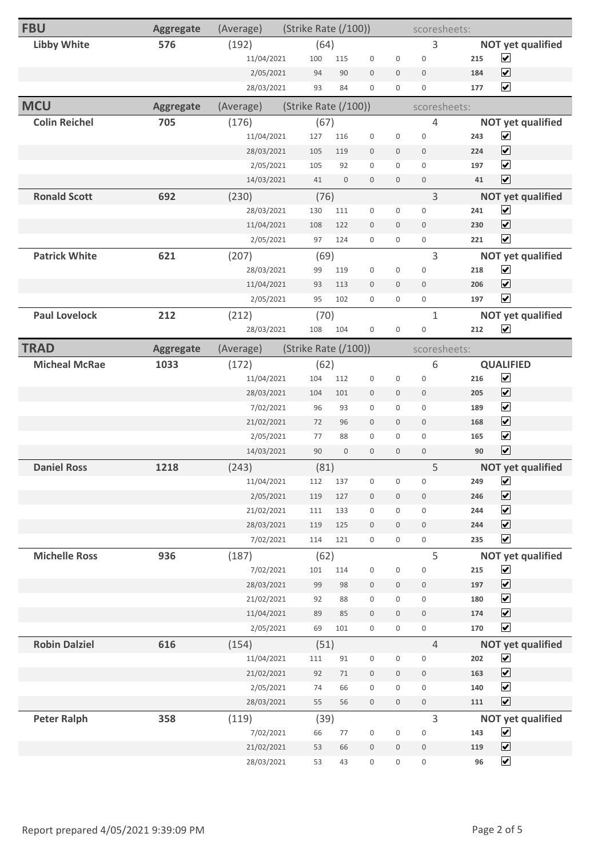| <b>FBU</b>           | <b>Aggregate</b> | (Average)  | (Strike Rate (/100)) |                  |                  | scoresheets:        |                     |     |                          |
|----------------------|------------------|------------|----------------------|------------------|------------------|---------------------|---------------------|-----|--------------------------|
| <b>Libby White</b>   | 576              | (192)      | (64)                 |                  |                  |                     | 3                   |     | <b>NOT yet qualified</b> |
|                      |                  | 11/04/2021 | 100                  | 115              | $\boldsymbol{0}$ | $\boldsymbol{0}$    | $\boldsymbol{0}$    | 215 | $\blacktriangledown$     |
|                      |                  | 2/05/2021  | 94                   | 90               | $\mathbf 0$      | $\mathbf 0$         | $\mathbf 0$         | 184 | $\overline{\mathbf{v}}$  |
|                      |                  | 28/03/2021 | 93                   | 84               | $\boldsymbol{0}$ | $\boldsymbol{0}$    | $\mathsf{O}\xspace$ | 177 | $\overline{\mathbf{v}}$  |
| <b>MCU</b>           | <b>Aggregate</b> | (Average)  | (Strike Rate (/100)) |                  |                  |                     | scoresheets:        |     |                          |
| <b>Colin Reichel</b> | 705              | (176)      | (67)                 |                  |                  |                     | $\overline{4}$      |     | <b>NOT yet qualified</b> |
|                      |                  | 11/04/2021 | 127                  | 116              | $\boldsymbol{0}$ | $\boldsymbol{0}$    | $\boldsymbol{0}$    | 243 | $\blacktriangledown$     |
|                      |                  | 28/03/2021 | 105                  | 119              | $\mathbf 0$      | $\mathbf 0$         | $\mathbf 0$         | 224 | $\blacktriangledown$     |
|                      |                  | 2/05/2021  | 105                  | 92               | $\boldsymbol{0}$ | $\boldsymbol{0}$    | $\boldsymbol{0}$    | 197 | $\overline{\mathbf{v}}$  |
|                      |                  | 14/03/2021 | 41                   | $\mathbf 0$      | $\mathbf 0$      | $\mathbf 0$         | $\mathbf 0$         | 41  | $\blacktriangledown$     |
| <b>Ronald Scott</b>  | 692              | (230)      | (76)                 |                  |                  |                     | 3                   |     | <b>NOT yet qualified</b> |
|                      |                  | 28/03/2021 | 130                  | 111              | $\boldsymbol{0}$ | $\boldsymbol{0}$    | $\boldsymbol{0}$    | 241 | $\overline{\mathbf{v}}$  |
|                      |                  | 11/04/2021 | 108                  | 122              | $\boldsymbol{0}$ | $\mathbf 0$         | $\mathbf 0$         | 230 | $\overline{\mathbf{v}}$  |
|                      |                  | 2/05/2021  | 97                   | 124              | $\mathbf 0$      | $\mathbf 0$         | $\mathsf{O}\xspace$ | 221 | $\blacktriangledown$     |
| <b>Patrick White</b> | 621              | (207)      | (69)                 |                  |                  |                     | $\overline{3}$      |     | <b>NOT yet qualified</b> |
|                      |                  | 28/03/2021 | 99                   | 119              | $\boldsymbol{0}$ | $\boldsymbol{0}$    | $\boldsymbol{0}$    | 218 | $\blacktriangledown$     |
|                      |                  | 11/04/2021 | 93                   | 113              | $\mathbf 0$      | $\mathbf 0$         | $\mathbf 0$         | 206 | $\overline{\mathbf{v}}$  |
|                      |                  | 2/05/2021  | 95                   | 102              | $\boldsymbol{0}$ | $\boldsymbol{0}$    | $\boldsymbol{0}$    | 197 | $\overline{\mathbf{v}}$  |
| <b>Paul Lovelock</b> | 212              | (212)      | (70)                 |                  |                  |                     | $\mathbf{1}$        |     | <b>NOT yet qualified</b> |
|                      |                  | 28/03/2021 | 108                  | 104              | $\boldsymbol{0}$ | $\boldsymbol{0}$    | $\boldsymbol{0}$    | 212 | $\blacktriangledown$     |
| <b>TRAD</b>          | Aggregate        | (Average)  | (Strike Rate (/100)) |                  |                  |                     | scoresheets:        |     |                          |
| <b>Micheal McRae</b> | 1033             | (172)      | (62)                 |                  |                  |                     | 6                   |     | <b>QUALIFIED</b>         |
|                      |                  | 11/04/2021 | 104                  | 112              | $\boldsymbol{0}$ | $\boldsymbol{0}$    | $\boldsymbol{0}$    | 216 | $\blacktriangledown$     |
|                      |                  | 28/03/2021 | 104                  | 101              | $\boldsymbol{0}$ | $\mathbf 0$         | $\mathbf 0$         | 205 | $\overline{\mathbf{v}}$  |
|                      |                  | 7/02/2021  | 96                   | 93               | $\mathbf 0$      | $\boldsymbol{0}$    | $\mathbf 0$         | 189 | $\blacktriangledown$     |
|                      |                  | 21/02/2021 | 72                   | 96               | $\mathbf 0$      | $\boldsymbol{0}$    | $\boldsymbol{0}$    | 168 | $\blacktriangledown$     |
|                      |                  | 2/05/2021  | 77                   | 88               | $\mathbf 0$      | $\mathbf{0}$        | $\mathbf 0$         | 165 | $\blacktriangledown$     |
|                      |                  | 14/03/2021 | 90                   | $\boldsymbol{0}$ | $\boldsymbol{0}$ | $\boldsymbol{0}$    | $\boldsymbol{0}$    | 90  | $\blacktriangledown$     |
| <b>Daniel Ross</b>   | 1218             | (243)      | (81)                 |                  |                  |                     | 5                   |     | <b>NOT yet qualified</b> |
|                      |                  | 11/04/2021 | 112                  | 137              | $\boldsymbol{0}$ | $\boldsymbol{0}$    | $\boldsymbol{0}$    | 249 | $\blacktriangledown$     |
|                      |                  | 2/05/2021  | 119                  | 127              | $\boldsymbol{0}$ | $\boldsymbol{0}$    | $\,0\,$             | 246 | $\blacktriangledown$     |
|                      |                  | 21/02/2021 | 111                  | 133              | $\boldsymbol{0}$ | $\mathbf 0$         | $\mathsf{O}\xspace$ | 244 | $\overline{\mathbf{v}}$  |
|                      |                  | 28/03/2021 | 119                  | 125              | $\boldsymbol{0}$ | $\mathbf 0$         | $\mathbf 0$         | 244 | $\blacktriangledown$     |
|                      |                  | 7/02/2021  | 114                  | 121              | $\boldsymbol{0}$ | $\boldsymbol{0}$    | $\mathsf{O}\xspace$ | 235 | $\blacktriangledown$     |
| <b>Michelle Ross</b> | 936              | (187)      | (62)                 |                  |                  |                     | 5                   |     | <b>NOT yet qualified</b> |
|                      |                  | 7/02/2021  | 101                  | 114              | $\boldsymbol{0}$ | $\boldsymbol{0}$    | $\boldsymbol{0}$    | 215 | $\blacktriangledown$     |
|                      |                  | 28/03/2021 | 99                   | 98               | $\boldsymbol{0}$ | $\mathbf 0$         | $\boldsymbol{0}$    | 197 | $\blacktriangledown$     |
|                      |                  | 21/02/2021 | 92                   | 88               | $\boldsymbol{0}$ | $\boldsymbol{0}$    | $\boldsymbol{0}$    | 180 | $\overline{\mathbf{v}}$  |
|                      |                  | 11/04/2021 | 89                   | 85               | $\boldsymbol{0}$ | $\boldsymbol{0}$    | $\boldsymbol{0}$    | 174 | $\blacktriangledown$     |
|                      |                  | 2/05/2021  | 69                   | 101              | $\boldsymbol{0}$ | $\mathsf{O}\xspace$ | $\boldsymbol{0}$    | 170 | $\blacktriangledown$     |
| <b>Robin Dalziel</b> | 616              | (154)      | (51)                 |                  |                  |                     | $\overline{4}$      |     | <b>NOT yet qualified</b> |
|                      |                  | 11/04/2021 | $111\,$              | 91               | $\boldsymbol{0}$ | $\boldsymbol{0}$    | $\boldsymbol{0}$    | 202 | $\blacktriangledown$     |
|                      |                  | 21/02/2021 | 92                   | $71\,$           | $\boldsymbol{0}$ | $\boldsymbol{0}$    | $\,0\,$             | 163 | $\blacktriangledown$     |
|                      |                  | 2/05/2021  | $74$                 | 66               | $\boldsymbol{0}$ | $\boldsymbol{0}$    | $\boldsymbol{0}$    | 140 | $\blacktriangledown$     |
|                      |                  | 28/03/2021 | 55                   | 56               | $\boldsymbol{0}$ | $\mathbf 0$         | $\boldsymbol{0}$    | 111 | $\blacktriangledown$     |
| <b>Peter Ralph</b>   | 358              | (119)      | (39)                 |                  |                  |                     | 3                   |     | <b>NOT yet qualified</b> |
|                      |                  | 7/02/2021  | 66                   | 77               | $\boldsymbol{0}$ | $\boldsymbol{0}$    | $\boldsymbol{0}$    | 143 | $\blacktriangledown$     |
|                      |                  | 21/02/2021 | 53                   | 66               | $\boldsymbol{0}$ | $\boldsymbol{0}$    | $\,0\,$             | 119 | $\blacktriangledown$     |
|                      |                  | 28/03/2021 | 53                   | 43               | $\boldsymbol{0}$ | $\boldsymbol{0}$    | 0                   | 96  | $\blacktriangledown$     |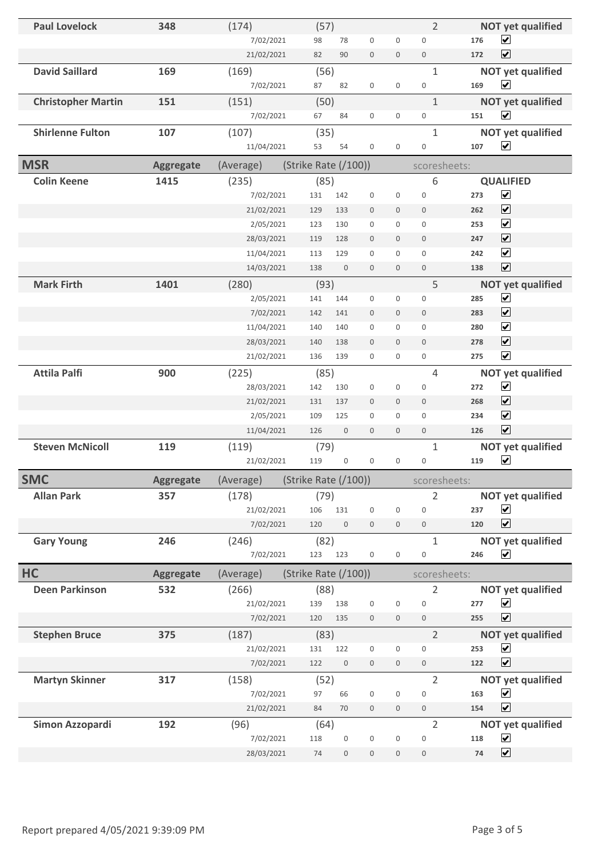| <b>Paul Lovelock</b>      | 348              | (174)      | (57)                    |                     |                     | $\overline{2}$      | <b>NOT yet qualified</b>       |
|---------------------------|------------------|------------|-------------------------|---------------------|---------------------|---------------------|--------------------------------|
|                           |                  | 7/02/2021  | 98<br>78                | $\mathbf 0$         | $\mathbf 0$         | $\mathbf 0$         | $\blacktriangledown$<br>176    |
|                           |                  | 21/02/2021 | 82<br>90                | $\boldsymbol{0}$    | $\mathsf{O}\xspace$ | $\mathsf{O}\xspace$ | $\blacktriangledown$<br>172    |
| <b>David Saillard</b>     | 169              | (169)      | (56)                    |                     |                     | $\mathbf{1}$        | <b>NOT yet qualified</b>       |
|                           |                  | 7/02/2021  | 87<br>82                | $\boldsymbol{0}$    | $\mathbf 0$         | $\mathsf{O}\xspace$ | $\blacktriangledown$<br>169    |
| <b>Christopher Martin</b> | 151              | (151)      | (50)                    |                     |                     | $\mathbf{1}$        | <b>NOT yet qualified</b>       |
|                           |                  | 7/02/2021  | 84<br>67                | $\mathbf 0$         | $\boldsymbol{0}$    | $\mathsf{O}\xspace$ | $\overline{\mathbf{v}}$<br>151 |
| <b>Shirlenne Fulton</b>   | 107              | (107)      | (35)                    |                     |                     | $\mathbf{1}$        | <b>NOT yet qualified</b>       |
|                           |                  | 11/04/2021 | 53<br>54                | $\mathbf 0$         | $\mathbf 0$         | $\boldsymbol{0}$    | $\blacktriangledown$<br>107    |
| <b>MSR</b>                | <b>Aggregate</b> | (Average)  | (Strike Rate (/100))    |                     |                     | scoresheets:        |                                |
| <b>Colin Keene</b>        | 1415             | (235)      | (85)                    |                     |                     | 6                   | <b>QUALIFIED</b>               |
|                           |                  | 7/02/2021  | 131<br>142              | $\mathbf 0$         | $\mathbf 0$         | $\mathbf 0$         | $\blacktriangledown$<br>273    |
|                           |                  | 21/02/2021 | 129<br>133              | $\mathbf 0$         | $\mathbf 0$         | $\mathbf 0$         | $\blacktriangledown$<br>262    |
|                           |                  | 2/05/2021  | 123<br>130              | $\mathbf 0$         | $\boldsymbol{0}$    | $\mathbf 0$         | $\blacktriangledown$<br>253    |
|                           |                  | 28/03/2021 | 119<br>128              | $\mathbf 0$         | $\mathbf 0$         | $\mathbf 0$         | $\overline{\mathbf{v}}$<br>247 |
|                           |                  | 11/04/2021 | 113<br>129              | $\boldsymbol{0}$    | $\mathbf 0$         | $\mathsf{O}\xspace$ | $\blacktriangledown$<br>242    |
|                           |                  | 14/03/2021 | 138<br>$\mathbf 0$      | $\mathbf 0$         | $\mathbf 0$         | $\boldsymbol{0}$    | $\overline{\mathbf{v}}$<br>138 |
| <b>Mark Firth</b>         | 1401             | (280)      | (93)                    |                     |                     | 5                   | <b>NOT yet qualified</b>       |
|                           |                  | 2/05/2021  | 141<br>144              | $\boldsymbol{0}$    | $\mathbf 0$         | $\mathbf 0$         | $\blacktriangledown$<br>285    |
|                           |                  | 7/02/2021  | 142<br>141              | $\mathbf 0$         | $\mathbf 0$         | $\mathbf 0$         | $\blacktriangledown$<br>283    |
|                           |                  | 11/04/2021 | 140<br>140              | $\boldsymbol{0}$    | $\mathbf 0$         | $\overline{0}$      | $\overline{\mathbf{v}}$<br>280 |
|                           |                  | 28/03/2021 | 140<br>138              | $\mathbf 0$         | $\mathbf 0$         | $\mathbf 0$         | $\overline{\mathbf{v}}$<br>278 |
|                           |                  | 21/02/2021 | 136<br>139              | $\mathbf 0$         | $\mathbf 0$         | 0                   | $\blacktriangledown$<br>275    |
| <b>Attila Palfi</b>       | 900              | (225)      | (85)                    |                     |                     | $\overline{4}$      | <b>NOT yet qualified</b>       |
|                           |                  | 28/03/2021 | 142<br>130              | $\boldsymbol{0}$    | $\boldsymbol{0}$    | $\boldsymbol{0}$    | $\blacktriangledown$<br>272    |
|                           |                  | 21/02/2021 | 131<br>137              | $\mathbf 0$         | $\mathbf 0$         | $\mathbf 0$         | $\blacktriangledown$<br>268    |
|                           |                  | 2/05/2021  | 109<br>125              | $\mathbf 0$         | $\mathbf{0}$        | $\mathbf{0}$        | $\blacktriangledown$<br>234    |
|                           |                  | 11/04/2021 | 126<br>$\boldsymbol{0}$ | $\mathbf 0$         | $\mathbf 0$         | $\mathbf 0$         | $\overline{\mathbf{v}}$<br>126 |
| <b>Steven McNicoll</b>    | 119              | (119)      | (79)                    |                     |                     | $\mathbf{1}$        | <b>NOT yet qualified</b>       |
|                           |                  | 21/02/2021 | $\boldsymbol{0}$<br>119 | $\mathbf 0$         | $\boldsymbol{0}$    | $\boldsymbol{0}$    | $\blacktriangledown$<br>119    |
| <b>SMC</b>                | <b>Aggregate</b> | (Average)  | (Strike Rate (/100))    |                     |                     | scoresheets:        |                                |
| <b>Allan Park</b>         | 357              | (178)      | (79)                    |                     |                     | 2                   | <b>NOT yet qualified</b>       |
|                           |                  | 21/02/2021 | 106<br>131              | $\mathsf{O}\xspace$ | $\mathsf{O}\xspace$ | $\mathbf 0$         | $\blacktriangledown$<br>237    |
|                           |                  | 7/02/2021  | 120<br>$\bf 0$          | $\mathbf 0$         | $\mathbf 0$         | $\boldsymbol{0}$    | $\blacktriangledown$<br>120    |
| <b>Gary Young</b>         | 246              | (246)      | (82)                    |                     |                     | $\mathbf{1}$        | <b>NOT yet qualified</b>       |
|                           |                  | 7/02/2021  | 123<br>123              | $\boldsymbol{0}$    | $\boldsymbol{0}$    | $\,0\,$             | $\blacktriangledown$<br>246    |
| HC                        | <b>Aggregate</b> | (Average)  | (Strike Rate (/100))    |                     |                     | scoresheets:        |                                |
| <b>Deen Parkinson</b>     | 532              | (266)      | (88)                    |                     |                     | $\overline{2}$      | <b>NOT yet qualified</b>       |
|                           |                  | 21/02/2021 | 139<br>138              | $\mathsf{O}\xspace$ | $\mathsf{O}\xspace$ | $\boldsymbol{0}$    | $\blacktriangledown$<br>277    |
|                           |                  | 7/02/2021  | 120<br>135              | $\mathsf{O}\xspace$ | $\boldsymbol{0}$    | $\mathsf{O}\xspace$ | $\blacktriangledown$<br>255    |
| <b>Stephen Bruce</b>      | 375              | (187)      | (83)                    |                     |                     | $\overline{2}$      | <b>NOT yet qualified</b>       |
|                           |                  | 21/02/2021 | 131<br>122              | $\boldsymbol{0}$    | $\boldsymbol{0}$    | 0                   | $\blacktriangledown$<br>253    |
|                           |                  | 7/02/2021  | $\boldsymbol{0}$<br>122 | $\mathbf 0$         | $\mathbf 0$         | $\boldsymbol{0}$    | $\overline{\mathbf{v}}$<br>122 |
| <b>Martyn Skinner</b>     | 317              | (158)      | (52)                    |                     |                     | $\overline{2}$      | <b>NOT yet qualified</b>       |
|                           |                  | 7/02/2021  | 97<br>66                | $\boldsymbol{0}$    | $\boldsymbol{0}$    | $\bf 0$             | $\blacktriangledown$<br>163    |
|                           |                  | 21/02/2021 | 84<br>70                | $\mathsf{O}\xspace$ | $\mathsf{O}\xspace$ | $\boldsymbol{0}$    | $\blacktriangledown$<br>154    |
| Simon Azzopardi           | 192              | (96)       | (64)                    |                     |                     | $\overline{2}$      | <b>NOT yet qualified</b>       |
|                           |                  | 7/02/2021  | 118<br>$\boldsymbol{0}$ | $\boldsymbol{0}$    | $\boldsymbol{0}$    | $\boldsymbol{0}$    | $\blacktriangledown$<br>118    |
|                           |                  | 28/03/2021 | 74<br>$\boldsymbol{0}$  | $\boldsymbol{0}$    | $\boldsymbol{0}$    | $\mathbf 0$         | $\blacktriangledown$<br>74     |
|                           |                  |            |                         |                     |                     |                     |                                |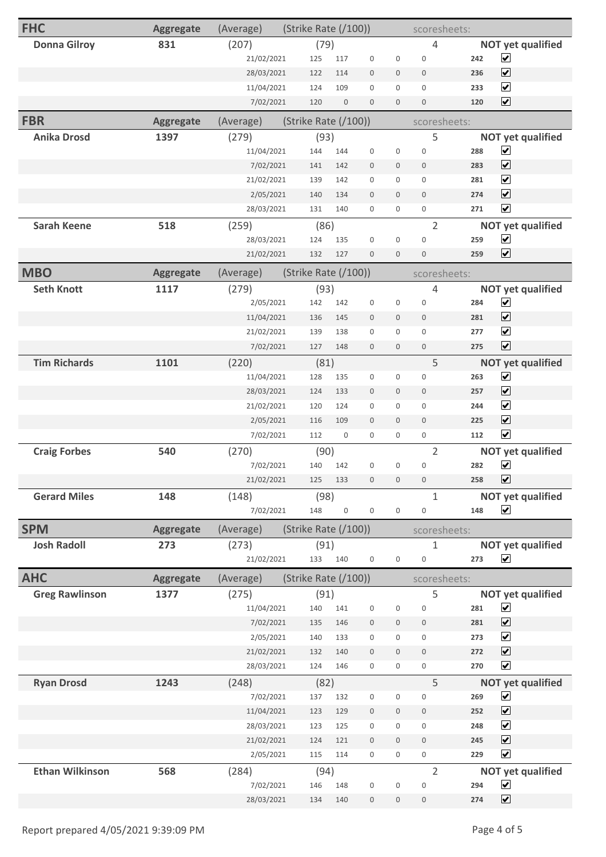| <b>FHC</b>             | <b>Aggregate</b> | (Average)          | (Strike Rate (/100))   |                  | scoresheets:        |                  |                                    |              |                                                  |
|------------------------|------------------|--------------------|------------------------|------------------|---------------------|------------------|------------------------------------|--------------|--------------------------------------------------|
| <b>Donna Gilroy</b>    | 831              | (207)              | (79)                   |                  |                     |                  | $\overline{4}$                     |              | <b>NOT yet qualified</b>                         |
|                        |                  | 21/02/2021         | 125                    | 117              | $\mathbf 0$         | $\boldsymbol{0}$ | $\boldsymbol{0}$                   | 242          | $\blacktriangledown$                             |
|                        |                  | 28/03/2021         | 122                    | 114              | $\mathbf 0$         | $\mathbf 0$      | $\mathbf 0$                        | 236          | $\blacktriangledown$                             |
|                        |                  | 11/04/2021         | 124                    | 109              | $\mathbf{0}$        | $\mathbf{0}$     | $\mathbf 0$                        | 233          | $\overline{\mathbf{v}}$                          |
|                        |                  | 7/02/2021          | 120                    | $\boldsymbol{0}$ | $\mathbf{0}$        | $\mathbf 0$      | $\mathbf 0$                        | 120          | $\overline{\mathbf{v}}$                          |
| <b>FBR</b>             | <b>Aggregate</b> | (Average)          | (Strike Rate $(100)$ ) |                  |                     |                  |                                    | scoresheets: |                                                  |
| <b>Anika Drosd</b>     | 1397             | (279)              | (93)                   |                  |                     |                  | 5                                  |              | <b>NOT yet qualified</b>                         |
|                        |                  | 11/04/2021         | 144                    | 144              | $\boldsymbol{0}$    | $\boldsymbol{0}$ | $\boldsymbol{0}$                   | 288          | $\blacktriangledown$                             |
|                        |                  | 7/02/2021          | 141                    | 142              | $\bf 0$             | $\boldsymbol{0}$ | $\boldsymbol{0}$                   | 283          | $\overline{\mathbf{v}}$                          |
|                        |                  | 21/02/2021         | 139                    | 142              | $\mathbf 0$         | $\mathbf{0}$     | $\mathbf{0}$                       | 281          | $\overline{\mathbf{v}}$                          |
|                        |                  | 2/05/2021          | 140                    | 134              | $\mathbf 0$         | $\mathbf{0}$     | $\mathbf 0$                        | 274          | $\overline{\mathbf{v}}$                          |
|                        |                  | 28/03/2021         | 131                    | 140              | $\mathbf{0}$        | $\mathbf{0}$     | $\boldsymbol{0}$                   | 271          | $\overline{\mathbf{v}}$                          |
| <b>Sarah Keene</b>     | 518              | (259)              | (86)                   |                  |                     |                  | $\overline{2}$                     |              | <b>NOT yet qualified</b>                         |
|                        |                  | 28/03/2021         | 124                    | 135              | $\boldsymbol{0}$    | $\boldsymbol{0}$ | $\mathbf 0$                        | 259          | $\blacktriangledown$                             |
|                        |                  | 21/02/2021         | 132                    | 127              | $\mathbf{0}$        | $\mathbf 0$      | $\boldsymbol{0}$                   | 259          | $\blacktriangledown$                             |
| <b>MBO</b>             | <b>Aggregate</b> | (Average)          | (Strike Rate (/100))   |                  |                     |                  |                                    | scoresheets: |                                                  |
| <b>Seth Knott</b>      | 1117             | (279)              | (93)                   |                  |                     |                  | 4                                  |              | <b>NOT yet qualified</b>                         |
|                        |                  | 2/05/2021          | 142                    | 142              | $\boldsymbol{0}$    | $\boldsymbol{0}$ | $\boldsymbol{0}$                   | 284          | $\blacktriangledown$                             |
|                        |                  | 11/04/2021         | 136                    | 145              | $\mathbf 0$         | $\mathbf 0$      | $\mathbf 0$                        | 281          | $\overline{\mathbf{v}}$                          |
|                        |                  | 21/02/2021         | 139                    | 138              | $\mathbf{0}$        | $\mathbf{0}$     | $\mathbf{0}$                       | 277          | $\blacktriangledown$                             |
|                        |                  | 7/02/2021          | 127                    | 148              | $\mathbf 0$         | $\mathbf 0$      | $\boldsymbol{0}$                   | 275          | $\blacktriangledown$                             |
| <b>Tim Richards</b>    | 1101             | (220)              | (81)                   |                  |                     |                  | 5                                  |              | <b>NOT yet qualified</b>                         |
|                        |                  | 11/04/2021         | 128                    | 135              | $\boldsymbol{0}$    | $\boldsymbol{0}$ | $\boldsymbol{0}$                   | 263          | $\blacktriangledown$                             |
|                        |                  | 28/03/2021         | 124                    | 133              | $\mathbf 0$         | $\boldsymbol{0}$ | $\mathbf 0$                        | 257          | $\overline{\blacktriangledown}$                  |
|                        |                  | 21/02/2021         | 120                    | 124              | $\mathbf 0$         | $\mathbf{0}$     | $\mathbf{0}$                       | 244          | $\blacktriangledown$                             |
|                        |                  | 2/05/2021          | 116                    | 109              | $\mathbf{0}$        | $\mathbf{0}$     | $\mathbf{0}$                       | 225          | $\blacktriangledown$                             |
|                        |                  | 7/02/2021          | 112                    | $\boldsymbol{0}$ | $\boldsymbol{0}$    | $\boldsymbol{0}$ | $\boldsymbol{0}$                   | 112          | $\blacktriangledown$                             |
| <b>Craig Forbes</b>    | 540              | (270)              | (90)                   |                  |                     |                  | $\overline{2}$                     |              | <b>NOT yet qualified</b>                         |
|                        |                  | 7/02/2021          | 140                    | 142              | $\boldsymbol{0}$    | $\boldsymbol{0}$ | $\boldsymbol{0}$                   | 282          | $\blacktriangledown$                             |
|                        |                  | 21/02/2021         | 125                    | 133              | $\mathsf{O}\xspace$ | $\boldsymbol{0}$ | $\overline{0}$                     | 258          | $\blacktriangledown$                             |
| <b>Gerard Miles</b>    | 148              | (148)              | (98)                   |                  |                     |                  | $\mathbf{1}$                       |              | <b>NOT yet qualified</b>                         |
|                        |                  | 7/02/2021          | 148                    | $\mathbf 0$      | $\mathsf{O}\xspace$ | $\boldsymbol{0}$ | $\boldsymbol{0}$                   | 148          | $\blacktriangledown$                             |
| <b>SPM</b>             | <b>Aggregate</b> | (Average)          | (Strike Rate (/100))   |                  |                     |                  |                                    | scoresheets: |                                                  |
| <b>Josh Radoll</b>     | 273              | (273)              | (91)                   |                  |                     |                  | $\mathbf{1}$                       |              | <b>NOT yet qualified</b>                         |
|                        |                  | 21/02/2021         |                        | 133 140          | $\mathsf{O}\xspace$ | $\boldsymbol{0}$ | $\boldsymbol{0}$                   | 273          | $\blacktriangledown$                             |
| <b>AHC</b>             | <b>Aggregate</b> | (Average)          | (Strike Rate (/100))   |                  |                     |                  |                                    | scoresheets: |                                                  |
| <b>Greg Rawlinson</b>  | 1377             | (275)              | (91)                   |                  |                     |                  | 5                                  |              | <b>NOT yet qualified</b>                         |
|                        |                  | 11/04/2021         | 140                    | 141              | $\boldsymbol{0}$    | $\boldsymbol{0}$ | $\boldsymbol{0}$                   | 281          | $\blacktriangledown$                             |
|                        |                  | 7/02/2021          | 135                    | 146              | $\boldsymbol{0}$    | $\mathbf 0$      | $\boldsymbol{0}$                   | 281          | $\blacktriangledown$                             |
|                        |                  | 2/05/2021          | 140                    | 133              | $\boldsymbol{0}$    | $\boldsymbol{0}$ | $\mathbf 0$                        | 273          | $\blacktriangledown$                             |
|                        |                  | 21/02/2021         | 132                    | 140              | $\boldsymbol{0}$    | $\mathbf 0$      | $\mathbf 0$                        | 272          | $\overline{\mathbf{v}}$                          |
|                        |                  | 28/03/2021         | 124                    | 146              | $\boldsymbol{0}$    | $\mathbf 0$      | $\mathsf{O}\xspace$                | 270          | $\blacktriangledown$                             |
| <b>Ryan Drosd</b>      | 1243             | (248)              | (82)                   |                  |                     |                  | 5                                  |              | <b>NOT yet qualified</b>                         |
|                        |                  | 7/02/2021          | 137                    | 132              | $\boldsymbol{0}$    | $\boldsymbol{0}$ | $\boldsymbol{0}$                   | 269          | $\blacktriangledown$                             |
|                        |                  |                    |                        |                  |                     |                  | $\mathbf 0$                        | 252          | $\blacktriangledown$                             |
|                        |                  | 11/04/2021         | 123                    | 129              | $\boldsymbol{0}$    | $\boldsymbol{0}$ |                                    |              |                                                  |
|                        |                  | 28/03/2021         | 123                    | 125              | $\boldsymbol{0}$    | $\boldsymbol{0}$ | $\boldsymbol{0}$                   | 248          | $\blacktriangledown$                             |
|                        |                  | 21/02/2021         | 124                    | 121              | $\boldsymbol{0}$    | $\mathbf 0$      | $\boldsymbol{0}$                   | 245          | $\blacktriangledown$                             |
|                        |                  | 2/05/2021          | 115                    | 114              | $\mathbf 0$         | $\boldsymbol{0}$ | $\mathbf 0$                        | 229          | $\blacktriangledown$                             |
| <b>Ethan Wilkinson</b> | 568              | (284)<br>7/02/2021 | (94)<br>146            | 148              | $\boldsymbol{0}$    | $\boldsymbol{0}$ | $\overline{2}$<br>$\boldsymbol{0}$ | 294          | <b>NOT yet qualified</b><br>$\blacktriangledown$ |